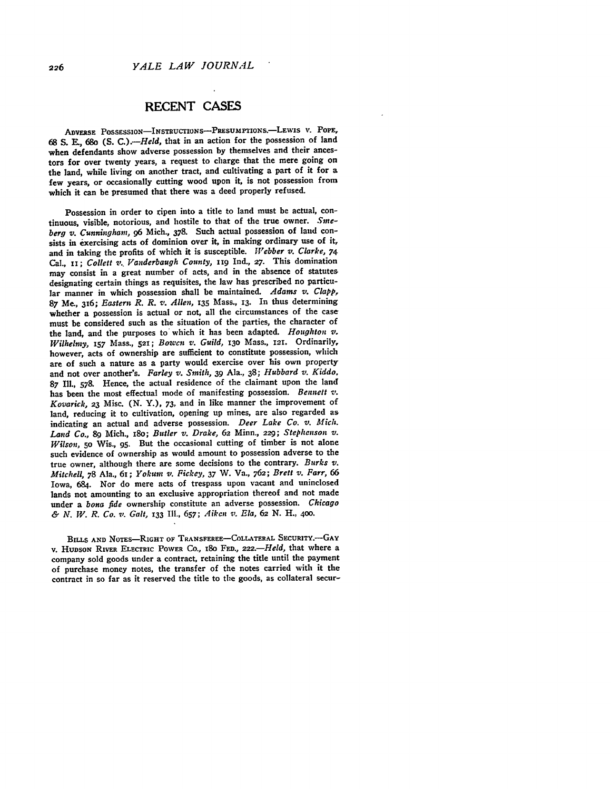## **RECENT CASES**

ADVERSE POSSESSIOn-INSTRUCTONS-PRESUMPTIONs.-LEwIS **V. POPE, 68 S. E., 68o (S.** *C.).-Held,* that in an action for the possession of land when defendants show adverse possession **by** themselves and their ancestors for over twenty years, a request to charge that the mere going on the land, while living on another tract, and cultivating a part of it for a few years, or occasionally cutting wood upon it, is not possession from which it can be presumed that there was a deed properly refused.

Possession in order to ripen into a title to land must be actual, continuous, visible, notorious, and hostile to that of the true owner. *Sineberg v. Cunningham, 96* Mich., **378.** Such actual possession of land consists in exercising acts of dominion over it, in making ordinary use of it, and in taking the profits of which it is susceptible. *IVebber v. Clarke, 74* Cal., **ix;** *Collett v.. Vanderbaugh County,* **n9** Ind., **27.** This domination may consist in a great number of acts, and in the absence of statutes designating certain things as requisites, the law has prescribed no particular manner in which possession shall be maintained. *Adams v. Clapp,* **87** Me., 316; *Eastern R. R. v. Allen,* **135** Mass., **13.** In thus determining whether a possession is actual or not, all the circumstances of the case must be considered such as the situation of the parties, the character of the land, and the purposes to which it has been adapted. *Houghton v. Wilhelmy,* **157** Mass., **521;** *Bowcn s,. Guild,* **130** Mass., **121.** Ordinarily, however, acts of ownership are sufficient to constitute possession, which are of such a nature as a party would exercise over his own property and not over another's. *Farley v. Smith,* **39** Ala., **38;** *Hubbard v. Kiddo,* **87** Ill., **578.** Hence, the actual residence of the claimant upon the land has been the most effectual mode of manifesting possession. *Bennett v*. *Kovarick,* **23** Misc. **(N.** Y.), **73,** and in like manner the improvement of land, reducing it to cultivation, opening up mines, are also regarded as indicating an actual and adverse possession. *Deer Lake Co. v. Mich. Land Co.,* **89** Mich., i8o; *Butler v. Drake,* **62** Minn., **229;** *Stephenson v. Wilson,* **50** Wis., **95.** But the occasional cutting of timber is not alone such evidence of ownership as would amount to possession adverse to the true owner, although there are some decisions to the contrary. *Burks v. Mitchell,* **78** Ala., **61;** *Yokumn v. Fickey, 37* W. Va., **762;** *Brett v. Farr, <sup>66</sup>* Iowa, 684. Nor do mere acts of trespass upon vacant and uninclosed lands not amounting to an exclusive appropriation thereof and not made under a *bona fide* ownership constitute an adverse possession. *Chicago &N. W. R. Co. v. Galt,* **133 Ill., 657;** *Aiken v. Ela, 62* **N.** H., **400.**

**BILLS AND NOTES-RIGHT OF TRANSFEREE-COLLATERAL SECURITY. -- GAY** v. HUDSON RIVER ELECTRIC POWER Co., 180 FED., 222.-*Held*, that where a company sold goods under a contract, retaining the title until the payment of purchase money notes, the transfer of the notes carried with it the contract in so far as it reserved the title to the goods, as collateral secur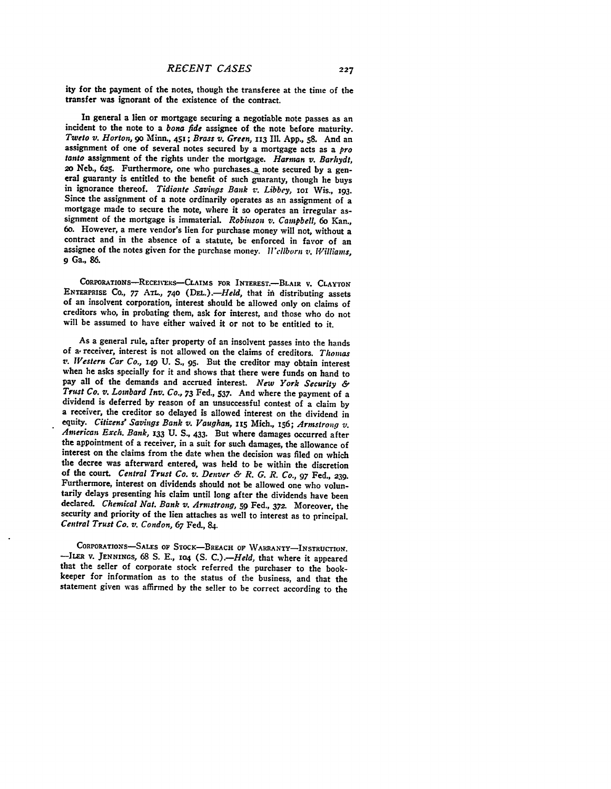ity for the payment of the notes, though the transferee at the time of the transfer was ignorant of the existence of the contract.

In general a lien or mortgage securing a negotiable note passes as an incident to the note to a *bona fide* assignee of the note before maturity. Tweto v. Horton, 90 Minn., 451; Brass v. Green, 113 Ill. App., 58. And an as *tanto* assignment of the rights under the mortgage. *Harman v. Barhydt,* eral guaranty is entitled to the benefit of such guaranty, though he buys<br>in ignorance thereof. *Tidionte Savings Bank v. Libbey*, 101 Wis., 193.<br>Since the assignment of a note ordinarily operates as an assignment of a mortgage made to secure the note, where it so operates an irregular as-<br>signment of the mortgage is immaterial. *Robinson v. Campbell*, 6o Kan.,<br>60. However, a mere vendor's lien for purchase money will not, without a contract and in the absence of a statute, be enforced in favor of an assignee of the notes given for the purchase money. *Wellborn v. Williams*, **9** Ga., **86.**

CORPORATIONS-RECEIVERS--CLAIMS FOR INTEREST.-BLAIR **V. CLAYTON ENTERPRISE CO.,** *77* **ATL., 740** *(DE.).-Held,* that **ifn** distributing assets of an insolvent corporation, interest should be allowed only on claims of creditors who, in probating them, ask for interest, and those who do not will be assumed to have either waived it or not to **be** entitled to it.

As a general rule, after property of an insolvent passes into the hands of a. receiver, interest is not allowed on the claims of creditors. *Thomas ,v. Western Car Co.,* 149 **U.** *S.,* 95. But the creditor may obtain interest when he asks specially for it and shows that there were funds on hand to pay all of the demands and accrued interest. *New York Security &* dividend is deferred by reason of an unsuccessful contest of a claim by a receiver, the creditor so delayed is allowed interest on the dividend in equity. Citizens' Savings Bank v. Vaughan, 115 Mich., 156; Armstrong v. American Exch. Bank, 133 U. S., 433. But where damages occurred after the appointment of a receiver, in a suit for such damages, the allowance of interest on the claims from the date when the decision was filed on which the decree was afterward entered, was held to be within the discretion of the court. *Central Trust Co. v. Denver & R. G. R. Co., 97* Fed., **239.** Furthermore, interest on dividends should not be allowed one who voluntarily delays presenting his claim until long after the dividends have been declared. *Chemical Nat. Bank v. Armstrong, 59* Fed., **372.** Moreover, the security and priority of the lien attaches as well to interest as to principal. *Central Trust Co. v. Condon, 67* Fed., **84.**

CORPORATIONS-SALES OF STOCK-BREACH OF WARRANTY-INSTRUCTION. -ILER V. *JENNINGs,* 68 S. E., **io4** (S. *C.).-Held,* that where it appeared that the seller of corporate stock referred the purchaser to the bookkeeper for information as to the status of the business, and that the statement given was affirmed by the seller to be correct according to the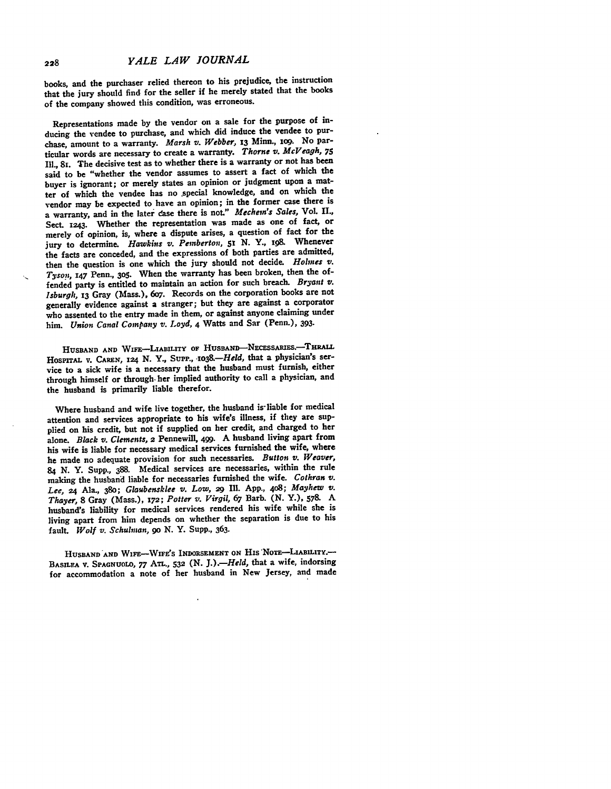*YALE LAW JOURNAL*

books, and the purchaser relied thereon to his prejudice, the instruction that the jury should find for the seller if he merely stated that the books of the company showed this condition, was erroneous.

Representations made **by** the vendor on a sale for the purpose of inducing the vendee to purchase, and which did induce the vendee to purchase, amount to a warranty. *Marsh v. Webber,* **13** Minn., **1O9.** No particular words are necessary to create a warranty. *Thorne v. McVeagh, <sup>75</sup>* Ill., **8i.** The decisive test as to whether there is a warranty or not has been said to be "whether the vendor assumes to assert a fact of which the buyer is ignorant; or merely states an opinion or judgment upon a matter of which the vendee has no .special knowledge, and on which the vendor may be expected to have an opinion; in the former case there is a warranty, and in the later dase there is not." *Mechem's Sales,* **VoL II.,** Sect. **1243.** Whether the representation was made as one of fact, or merely of opinion, is, where a dispute arises, a question of fact for the jury to determine. *Hawkins v. Pemberton, St* **N.** Y., **ig9.** Whenever the facts are conceded, and the expressions of both parties are admitted, then the question is one which the jury should not decide. *Holmes v. Tyson, 147* Penn., **3o5.** When the warranty has been broken, then the offended party is entitled to maintain an action for such breach. *Bryant v. Isburgh,* **13** Gray (Mass.), 6o7. Records on the corporation books are not generally evidence against a stranger; but they are against a corporator who assented to the entry made in them, or against anyone claiming under him. *Union Canal Company v. Loyd,* 4 Watts and Sar (Penn.), **393.**

HUSBAND AND WIFE-LIABILITY OF HUSBAND-NECESSARIES.<sup>-THRALL</sup> **HosprriAL** v. **CAREN, 124 N.** Y., Supp., *.,o3 8.-Held,* that a physician's service to a sick wife is a necessary that the husband must furnish, either through himself or through- her implied authority to call a physician, and the husband is primarily liable therefor.

Where husband and wife live together, the husband is-liable for medical attention and services appropriate to his wife's illness, if they are supplied on his credit, but not if supplied on her credit, and charged to her alone. *Black v.* Clements, **2** Pennewill, 499. **A** husband living apart from his wife is liable for necessary medical services furnished the wife, where he made no adequate provision for such necessaries. *Button v. Weaver,* <sup>84</sup>**N.** Y. Supp., **388.** Medical services are necessaries, within the rule making the husband liable for necessaries furnished the wife. *Cothran v. Lee,* **24** Ala., **380;** *Glaubensklee v. Low, 29* Ill. **App., 4o8;** *Mayhew v. Thayer,* **8** Gray (Mass.), **172;** *Potter v. Virgil, 67* Barb. **(N.** Y.), **578. A** husband's liability for medical services rendered his wife while she is living apart from him depends on whether the separation is due to his fault. *Wolf v.* Schulman, *go* **N.** Y. Supp., **363.**

**HUSBAND AND WIFE-WIFE'S INDORSEMENT ON** His **NoTE-LIABILITY.- BASILEA V. SPAGNUOLO, 77 ATL., 532 (N.** *J.) .- Held,* that a wife, indorsing for accommodation a note of her husband in New **Jersey, and made**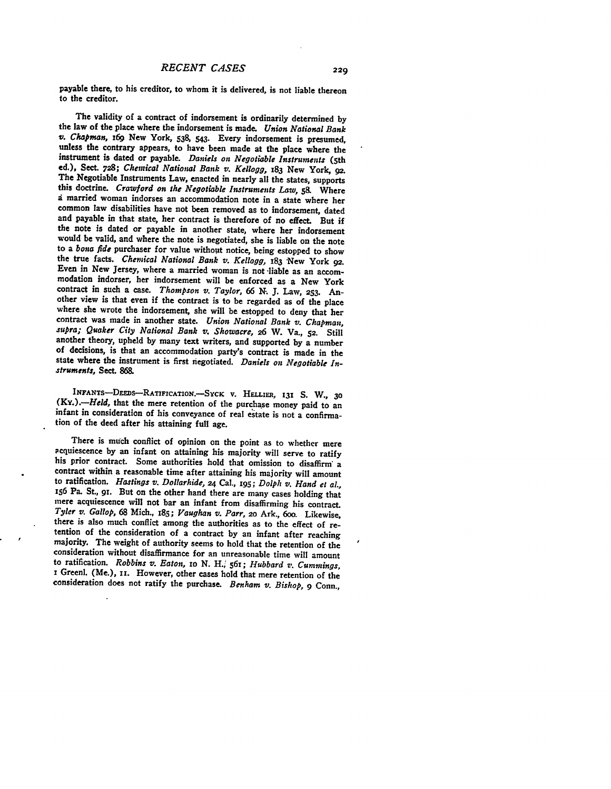payable there, to his creditor, to whom it is delivered, is not liable thereon to the creditor.

The validity of a contract of indorsement is ordinarily determined by<br>the law of the place where the indorsement is made. Union National Bank<br>v. Chapman, 169 New York, 538, 543. Every indorsement is presumed,<br>unless the co instrument is dated or payable. *Daniels on Negotiable* Instruments (5th ed.), **Sect. 728;** *Chemical National Bank v. Kellogg,* **x83** New York, **92.** The Negotiable Instruments Law, enacted in nearly all the states, supports this doctrine. *Crawford on the Negotiable Instruments Law,* **58.** Where common law disabilities have not been removed as to indorsement, dated and payable in that state, her contract is therefore of no effect. But if the note is dated or payable in another state, where her indorsement would be valid, and where the note is negotiated, she is liable on the note to a *bona fide* purchaser for value without notice, being estopped to show Even in New Jersey, where a married woman is not liable as an accom-<br>modation indorser, her indorsement will be enforced as a New York contract in such a case. *Thompson v. Taylor,* 66 *N.* **J.** Law, **253.** Another view is that even if the contract is to be regarded as of the place where she wrote the indorsement, she will be estopped to deny that her contract was made in another state. *Union National Bank v. Chapman, supra; Quaker City National Bank v. Showacre,* **26** W. Va., **52.** Still another theory, upheld **by** many text writers, and supported **by** a number of decisions, is that an accommodation party's contract is made in the state where the instrument is first negotiated. *Daniels on Negotiable Instruments, Sect. 868.*

**INFANTs-DEEDS-RATIFICATION.-SYCK** v. **HELLiER, 131 S.** W., **30** *(Ky.).-Held,* that the mere retention of the purchase money paid to an infant in consideration of his conveyance of real estate is not a confirmation of the deed after his attaining full age.

There is much conflict of opinion on the point as to whether mere<br>acquiescence by an infant on attaining his majority will serve to ratify<br>his prior contract. Some authorities hold that omission to disaffirm a<br>contract wit to ratification. *Hastings v. Dollarhide, 24* Cal., **195;** *Dolph v. Hand et al.,* **i56** Pa. St., **91.** But on the other hand there are many cases holding that mere acquiescence will not bar an infant from disaffirming his contract. *Tyler v. Gallop,* **68** Mich., **i85;** *Vaughan v. Parr,* **2o** Ark., 6oo. Likewise, tention of the consideration of a contract by an infant after reaching majority. The weight of authority seems to hold that the retention of the consideration without disaffirmance for an unreasonable time will amount to ratification. *Robbins v. Eaton,* **xo N.** H., 561; *Hubbard v. Cummings,* **<sup>i</sup>**Greenl. (Me.), **ii.** However, other cases hold that mere retention of the consideration does not ratify the purchase. *Benham v. Bishop, 9* Conn.,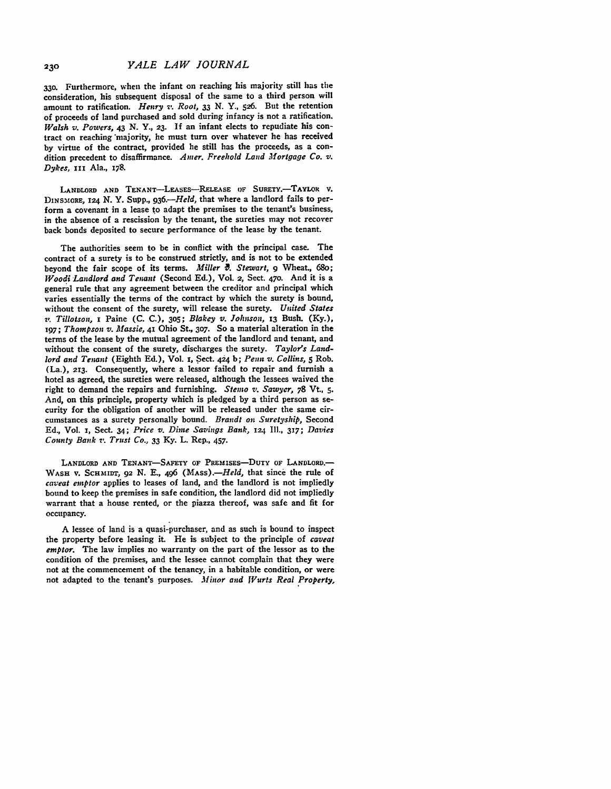**33o.** Furthermore, when the infant on reaching his majority still has the consideration, his subsequent disposal of the same to a third person will amount to ratification. *Henry v. Root,* **33** N. Y., **526.** But the retention of proceeds of land purchased and sold during infancy is not a ratification. *Walsh v. Powers,* 43 N. Y., **23. If** an infant elects to repudiate his contract on reaching 'majority, he must turn over whatever he has received **by** virtue of the contract, provided he still has the proceeds, as a condition precedent to disaffirmance. *Amer. Freehold Land Mortgage Co. v. Dykes*, III Ala., 178.

LANDLORD AND TENANT-LEASES-RELEASE OF SURETY.-TAYLOR **v. DiNS.IORE, x24 N.** Y. Supp., *936.-Held,* that where a landlord fails to perform a covenant in a lease to adapt the premises to the tenant's business. in the absence of a rescission **by** the tenant, the sureties may not recover back bonds deposited to secure performance of the lease **by** the tenant.

The authorities seem to be in conflict with the principal case. The contract of a surety is to be construed strictly, and is not to be extended beyond the fair scope of its terms. *Miller 0. Stewart, 9* Wheat., 68o; *Woodi Landlord and Tenant* (Second **Ed.),** Vol. **2,** Sect. **470.** And it is a general rule that any agreement between the creditor and principal which varies essentially the terms of the contract **by** which the surety is bound, without the consent of the surety, will release the surety. *United States v. Tillotson,* i Paine **(C. C.), 305;** *Blakey v. Johnson,* **13** Bush. **(Ky.), 197;** *Thompson v. Massie,* **41** Ohio St., **307.** So a material alteration in the terms of the lease **by** the mutual agreement of the landlord and tenant, and without the consent of the surety, discharges the surety. *Taylor's Landlord and Tenant* (Eighth **Ed.),** Vol. s, Sect. **424 b;** *Penn v. Collins, 5* Rob. (La.), **213.** Consequently, where a lessor failed to repair and furnish a hotel as agreed, the sureties were released, although the lessees waived the right to demand the repairs and furnishing. *Sterno v. Sawyer,* **78** Vt., **5.** And, on this principle, property which is pledged **by** a third person as security for the obligation of another will be released under the same circumstances as a surety personally bound. *Brandt on Suretyship,* Second **Ed.,** Vol. **x,** Sect. 34; *Price v. Dime Savings Bank, 124* **Ill., 317;** *Davies County Bank v. Trust Co., 33* **Ky.** L. Rep., 457.

**LANDLORD AND TENANT-SAFETY OF PREMISEs-DUTY OF LANDLORD.- WASH** V. SCHMIDT, **92 N. E.,** 496 *(MASs)-Held,* that since the rule of *caveat emptor* applies to leases of land, and the landlord is not impliedly bound to keep the premises in safe condition, the landlord did not impliedly warrant that a house rented, or the piazza thereof, was safe and fit for occupancy.

**A** lessee of land is a quasi-purchaser, and as such is bound to inspect the property before leasing it. He is subject to the principle of *caveat emptor.* The law implies no warranty on the part of the lessor as to the condition **of** the premises, and the lessee cannot complain that they were not at the commencement of the tenancy, in a habitable condition, or were not adapted to the tenant's purposes. *Minor and Wurts Real Property*,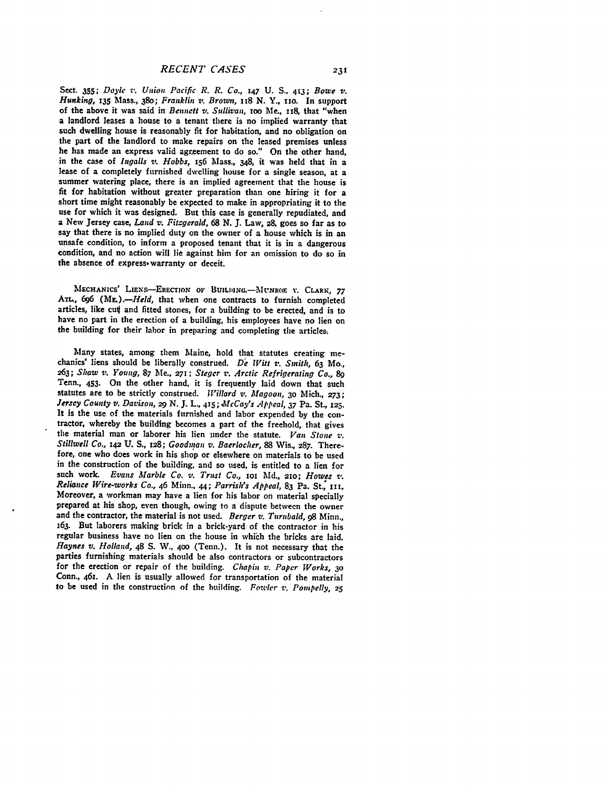Sect. **355;** *Doy . v. Union Pacific R. R. Co.,* **147 U. S.. 413;** *Bowe v. Hunking, 135* Mass., 38o; *Franklin v. Brown,* s 8 **N.** Y., **no.** In support of the above it was said in *Bennctt v. Sullivan*, 100 Me., 118, that "when a landlord leases a house to a tenant there is no implied warranty that such dwelling house is reasonably fit for habitation, and no obligation on the part of the landlord to make repairs on the leased premises unless he has made an express valid agreement to do so." On the other hand, in the case of *Ingalls v. Hobbs*, 156 Mass., 348, it was held that in a lease of a completely furnished dwelling house for a single season, at a summer watering place, there is an implied agreement that the house is fit for habitation without greater preparation than one hiring it for a short time might reasonably be expected to make in appropriating it to the use for which it was designed. But this case is generally repudiated, and a New Jersey case, *Land v. Fitzgerald*, 68 N. J. Law, 28, goes so far a unsafe condition, to inform a proposed tenant that it is in a dangerous condition, and no action will lie against him for an omission to do so in the absence of express- warranty or deceit.

MECHANICS' LIENS-ERECTION OF BUILDING.-MUNROE V. CLARK, 77 *ATL, 696 (ML).-fHeld,* that when one contracts to furnish completed articles, like cut and fitted stones, for a building to be erected, and is to have no part in the erection of a building, his employees have no lien on the building for their labor in preparing and completing the articles..

Many states, among them Maine, hold that statutes creating mechanics' liens should be liberally construed. *De Witt v. Smith,* **63** Mo., **263;** *Shaw v.* Young, **87** Me., **27!;** *Steger z. Arctic Refrigerating Co., 89* Tenn., **453.** On the other hand, it is frequently laid down that such statutes are to be strictly construed. *Willard v. Magoon,* **3o** Mich., **273;** *Jersey County v. Davison,* **29 N. J.** L., **415;** *McCay's lppeal, 37* Pa. St., **125.** It is the use of the materials furnished and labor expended **by** the con- tractor, whereby the building becomes a part of the freehold, that gives the material man or laborer his lien under the statute. *Van Stone v. Stillwell Co., 142* **U.** *S.,* **128;** *Goodman v. Baerlocher,* **88** Wis., **287.** Therefore, one who does work in his shop or elsewhere on materials to be used in the construction of the building, and so used, is entitled to a lien for such **work.** *Evans Marble Co. v. Trust Co.,* **iot Md., 210;** *Howes v. Reliance Wire-works Co.,* 46 Minn.. **44;** *Parrish's Appeal,* 83 Pa. St., **IIt.** Moreover, a workman may have a lien for his labor on material specially prepared at his shop, even though, owing to a dispute between the owner and the contractor, the material is not used. *Berger v. Turnbald, 98* Minn., 163. But laborers making brick in a brick-yard of the contractor in his regular business have no lien on the house in which the bricks are laid. *Haynes v. Holland,* 48 **S.** W., **400** (Tenn.). It is not necessary that the parties furnishing materials should be also contractors or subcontractors for the erection or repair of the building. *Chapin v. Paper Works, <sup>30</sup>* Conn., 461. **A** lien is usually allowed for transportation of the material to be used in the construction of the building. *Fonteler v. PoMpelly,* **25**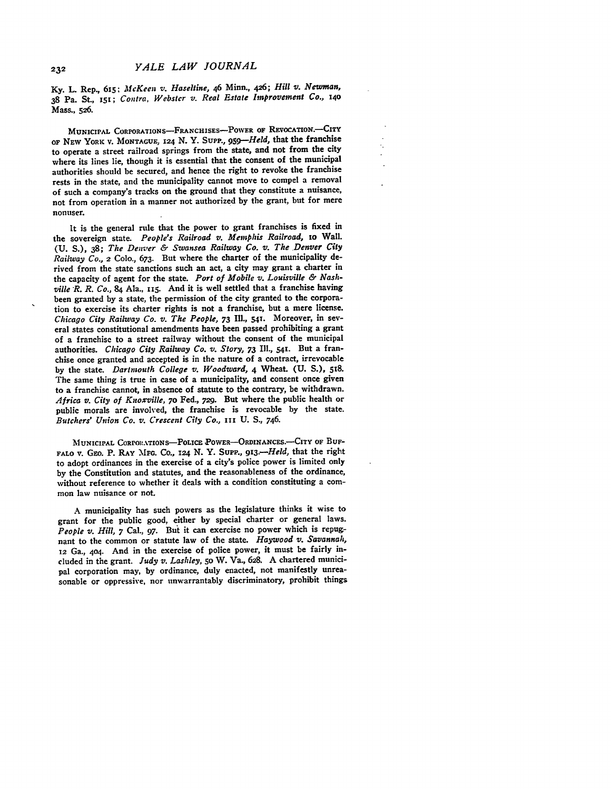**Ky.** L. Rep., **615;** *McKeen v. Haseltine,* 46 Minn., 426; *Hill v. Newman,* **38** Pa. St., *151; Contra, Webstcr v. Real Estate Improvement Co., <sup>140</sup>* Mass., **526.**

**MUNICIPAL CORPORAIONS-FRANCHISES-POWER OF** REVOCATION.-CITY **OF** NEW YORK **V.** MONTAGUE, **124 N.** Y. Supp., *959-Held,* that the franchise to operate a street railroad springs from the state, and not from the city where its lines lie, though it is essential that the consent of the municipal authorities should be secured, and hence the right to revoke the franchise rests in the state, and the municipality cannot move to compel a removal of such a company's tracks on the ground that they constitute a nuisance, not from operation in a manner not authorized **by** the grant, but for mere nonuser.

It is the general rule that the power to grant franchises is fixed in the sovereign state. *People's Railroad v. Memphis Railroad, 1o* Wall. **(U. S.), 38;** *The Denver & Swansea Railway Co. v. The Denver City Railway Co.,* 2 Colo., **673.** But where the charter of the municipality derived from the state sanctions such an act, a city may grant a charter in the capacity of agent for the state. *Port of Mobile v. Louisville & Nashville R. R. Co.,* 84 Ala., 115. And it is well settled that a franchise having been granted **by** a state, the permission of the city granted to the corporation to exercise its charter rights is not a franchise, but a mere license. *Chicago City Railway Co. v. The People,* **73 Ill., 541.** Moreover, in several states constitutional amendments have been passed prohibiting a grant of a franchise to a street railway without the consent of the municipal authorities. *Chicago City Railway Co. v. Story,* 73 **Ill., 541.** But a franchise once granted and accepted is in the nature of a contract, irrevocable **by** the state. *Dartmouth College v. Woodward,* 4 Wheat. **(U. S.), 518.** The same thing is true in case of a municipality, and consent once given to a franchise cannot, in absence of statute to the contrary, be withdrawn. *Africa v. City of Knoxville, 7o* Fed., **729.** But where the public health or public morals are involved, the franchise is revocable **by** the state. *Butchers' Union Co. v. Crescent City Co., III* **U. S.,** 746.

**MUNICIPAL CORPORATIONS-POLICE POWER-ORDINANCES.**-CITY OF BUF-**FALO v. GEo.** P. RAY **MF.** Co., **124 N.** Y. SuPP., *<sup>9</sup> 13.-Held,* that the right **to adopt ordinances in** the exercise of a city's police power is limited only **by** the Constitution and statutes, and the reasonableness of the ordinance, without reference to whether it deals with a condition constituting a common law nuisance or not.

A municipality has such powers as the legislature thinks it **wise to** grant for the public good, either **by** special charter or general laws. *People v. Hill,* 7 Cal., **97. But** it can exercise no power which is repugnant to the common or statute law of the state. *Haywood v. Savannah,* **12** Ga., **4o4.** And in the exercise of police power, it must be fairly included in the grant. *Judy v. Lashley,* **5o** W. Va., **628. A** chartered municipal corporation may, **by** ordinance, duly enacted, not manifestly unreasonable or oppressive, nor unwarrantably discriminatory, prohibit things

232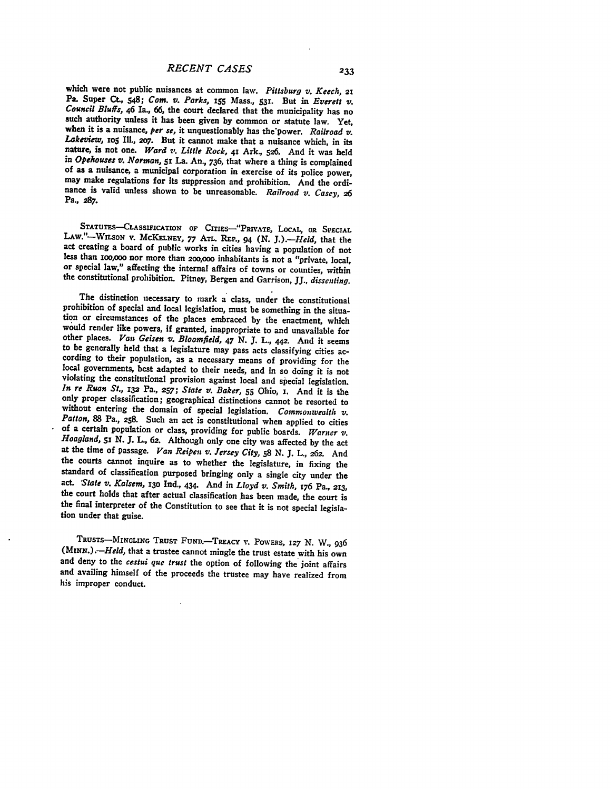which were not public nuisances at common law. *Pittsburg v. Keech, 21* Pa. Super Ct., 548; Com. v. Parks, 155 Mass., 531. But in Everett v. Council Bluffs, 46 Ia., 66, the court declared that the municipality has no such authority unless it has been given by common or statute law. Yet, when it is a nuisance, per se, it unquestionably has the power. Railroad v nature, is not one. Ward v. Little Rock, 41 Ark., 526. And it was held<br>in Opehouses v. Norman, 51 La. An., 736, that where a thing is complained<br>of as a nuisance, a municipal corporation in exercise of its police power,<br>m Pa., **287.**

STATUTES-CLASSIFICATION OF CITIES-"PRIVATE, LOCAL, OR SPECIAL LAW."-WILSON **v.** McKELNEY, 77 ATL. REP., 94 (N. J.).--Held, that the act creating a board of public works in cities having a population of not less than 100,000 nor more than 200,000 inhabitants is not a "private, local, or special law," affecting the internal affairs of towns or counties, within the constitutional prohibition. Pitney, Bergen and Garrison, JJ., *dissenting.*

The distinction necessary to mark a class, under the constitutional prohibition of special and local legislation, must be something in the situation or circumstances of the places embraced by the enactment, which<br>would render like powers, if granted, inappropriate to and unavailable for<br>other places. Van Geisen v. Bloomfield, 47 N. J. L., 442. And it seems<br>to be without entering the domain of special legislation. Commonwealth v. Patton, 88 Pa., 258. Such an act is constitutional when applied to cities of a certain population or class, providing for public boards. Warner v. Hoagla at the time of passage. *Van Reipen v. Jersey City,* **58 N. J.** L., *26&.* And the courts cannot inquire as to whether the legislature, in fixing the standard of classification purposed bringing only a single city under the act. *State v. Kalsem*, 130 Ind., 434. And in *Lloyd v. Smith*, 176 Pa., 213, the court holds that after actual classification has been made, the court is<br>the final interpreter of the Constitution to see that it is not special legislation under that guise.

TRUSTS-INGLING **TRUST FUND.-TREACY** V. POwERs, **127** N. W., 936 *(MINN.).-Held,* that a trustee cannot mingle the trust estate with his own and deny to the *cestui que trust* the option of following the joint affairs and availing himself of the proceeds the trustee may have realized from his improper conduct.